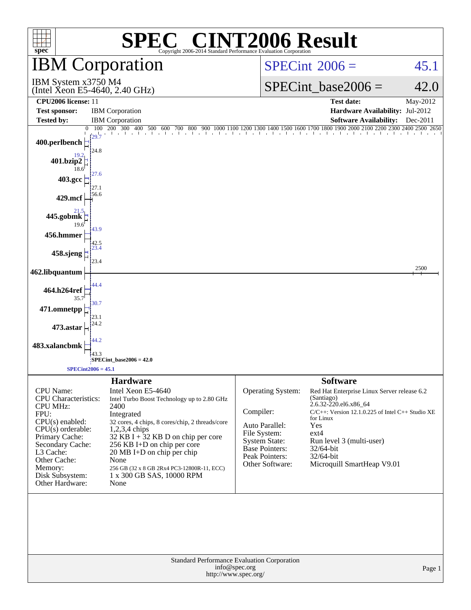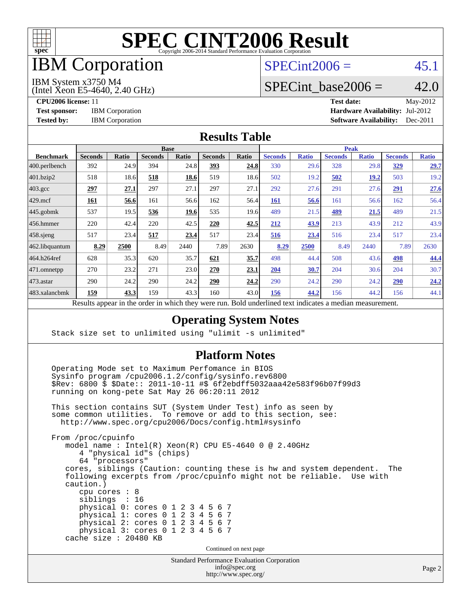

# IBM Corporation

## $SPECint2006 = 45.1$  $SPECint2006 = 45.1$

#### IBM System x3750 M4

(Intel Xeon E5-4640, 2.40 GHz)

SPECint base2006 =  $42.0$ 

**[CPU2006 license:](http://www.spec.org/auto/cpu2006/Docs/result-fields.html#CPU2006license)** 11 **[Test date:](http://www.spec.org/auto/cpu2006/Docs/result-fields.html#Testdate)** May-2012 **[Test sponsor:](http://www.spec.org/auto/cpu2006/Docs/result-fields.html#Testsponsor)** IBM Corporation **[Hardware Availability:](http://www.spec.org/auto/cpu2006/Docs/result-fields.html#HardwareAvailability)** Jul-2012 **[Tested by:](http://www.spec.org/auto/cpu2006/Docs/result-fields.html#Testedby)** IBM Corporation **[Software Availability:](http://www.spec.org/auto/cpu2006/Docs/result-fields.html#SoftwareAvailability)** Dec-2011

### **[Results Table](http://www.spec.org/auto/cpu2006/Docs/result-fields.html#ResultsTable)**

|                                                                                                          | <b>Base</b>    |       |                |       |                |       |                | <b>Peak</b>  |                |              |                |              |  |
|----------------------------------------------------------------------------------------------------------|----------------|-------|----------------|-------|----------------|-------|----------------|--------------|----------------|--------------|----------------|--------------|--|
| <b>Benchmark</b>                                                                                         | <b>Seconds</b> | Ratio | <b>Seconds</b> | Ratio | <b>Seconds</b> | Ratio | <b>Seconds</b> | <b>Ratio</b> | <b>Seconds</b> | <b>Ratio</b> | <b>Seconds</b> | <b>Ratio</b> |  |
| 400.perlbench                                                                                            | 392            | 24.9  | 394            | 24.8  | 393            | 24.8  | 330            | 29.6         | 328            | 29.8         | <u>329</u>     | 29.7         |  |
| 401.bzip2                                                                                                | 518            | 18.6  | 518            | 18.6  | 519            | 18.6  | 502            | 19.2         | 502            | 19.2         | 503            | 19.2         |  |
| $403.\mathrm{gcc}$                                                                                       | 297            | 27.1  | 297            | 27.1  | 297            | 27.1  | 292            | 27.6         | 291            | 27.6         | 291            | 27.6         |  |
| $429$ mcf                                                                                                | 161            | 56.6  | 161            | 56.6  | 162            | 56.4  | <b>161</b>     | 56.6         | 161            | 56.6         | 162            | 56.4         |  |
| $445$ .gobmk                                                                                             | 537            | 19.5  | 536            | 19.6  | 535            | 19.6  | 489            | 21.5         | 489            | 21.5         | 489            | 21.5         |  |
| 456.hmmer                                                                                                | 220            | 42.4  | 220            | 42.5  | 220            | 42.5  | 212            | 43.9         | 213            | 43.9         | 212            | 43.9         |  |
| 458.sjeng                                                                                                | 517            | 23.4  | 517            | 23.4  | 517            | 23.4  | 516            | 23.4         | 516            | 23.4         | 517            | 23.4         |  |
| 462.libquantum                                                                                           | 8.29           | 2500  | 8.49           | 2440  | 7.89           | 2630  | 8.29           | 2500         | 8.49           | 2440         | 7.89           | 2630         |  |
| 464.h264ref                                                                                              | 628            | 35.3  | 620            | 35.7  | 621            | 35.7  | 498            | 44.4         | 508            | 43.6         | 498            | 44.4         |  |
| 471.omnetpp                                                                                              | 270            | 23.2  | 271            | 23.0  | 270            | 23.1  | 204            | 30.7         | 204            | 30.6         | 204            | 30.7         |  |
| $473.$ astar                                                                                             | 290            | 24.2  | 290            | 24.2  | 290            | 24.2  | 290            | 24.2         | 290            | 24.2         | 290            | 24.2         |  |
| 483.xalancbmk                                                                                            | 159            | 43.3  | 159            | 43.3  | 160            | 43.0  | 156            | 44.2         | 156            | 44.2         | 156            | 44.1         |  |
| Decute ennoye in the order in which they were mun<br>Dold underlined text indicates a madien massurement |                |       |                |       |                |       |                |              |                |              |                |              |  |

Results appear in the [order in which they were run.](http://www.spec.org/auto/cpu2006/Docs/result-fields.html#RunOrder) Bold underlined text [indicates a median measurement.](http://www.spec.org/auto/cpu2006/Docs/result-fields.html#Median)

### **[Operating System Notes](http://www.spec.org/auto/cpu2006/Docs/result-fields.html#OperatingSystemNotes)**

Stack size set to unlimited using "ulimit -s unlimited"

### **[Platform Notes](http://www.spec.org/auto/cpu2006/Docs/result-fields.html#PlatformNotes)**

 Operating Mode set to Maximum Perfomance in BIOS Sysinfo program /cpu2006.1.2/config/sysinfo.rev6800 \$Rev: 6800 \$ \$Date:: 2011-10-11 #\$ 6f2ebdff5032aaa42e583f96b07f99d3 running on kong-pete Sat May 26 06:20:11 2012

 This section contains SUT (System Under Test) info as seen by some common utilities. To remove or add to this section, see: <http://www.spec.org/cpu2006/Docs/config.html#sysinfo>

 From /proc/cpuinfo model name : Intel(R) Xeon(R) CPU E5-4640 0 @ 2.40GHz 4 "physical id"s (chips) 64 "processors" cores, siblings (Caution: counting these is hw and system dependent. The following excerpts from /proc/cpuinfo might not be reliable. Use with caution.) cpu cores : 8 siblings : 16 physical 0: cores 0 1 2 3 4 5 6 7 physical 1: cores 0 1 2 3 4 5 6 7 physical 2: cores 0 1 2 3 4 5 6 7 physical 3: cores 0 1 2 3 4 5 6 7 cache size : 20480 KB

Continued on next page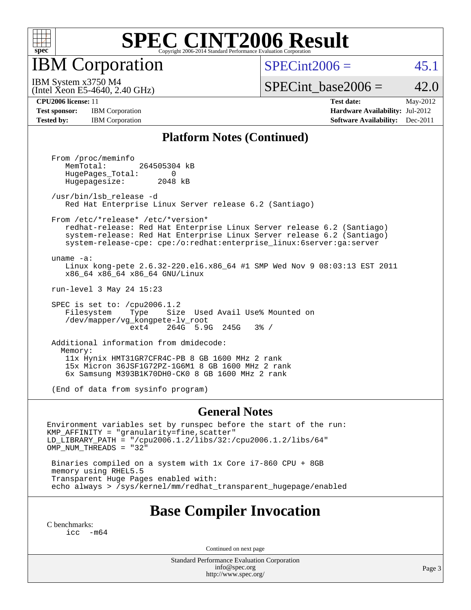

IBM Corporation

 $SPECint2006 = 45.1$  $SPECint2006 = 45.1$ 

(Intel Xeon E5-4640, 2.40 GHz) IBM System x3750 M4

SPECint base2006 =  $42.0$ 

**[Test sponsor:](http://www.spec.org/auto/cpu2006/Docs/result-fields.html#Testsponsor)** IBM Corporation **[Hardware Availability:](http://www.spec.org/auto/cpu2006/Docs/result-fields.html#HardwareAvailability)** Jul-2012

**[CPU2006 license:](http://www.spec.org/auto/cpu2006/Docs/result-fields.html#CPU2006license)** 11 **[Test date:](http://www.spec.org/auto/cpu2006/Docs/result-fields.html#Testdate)** May-2012 **[Tested by:](http://www.spec.org/auto/cpu2006/Docs/result-fields.html#Testedby)** IBM Corporation **[Software Availability:](http://www.spec.org/auto/cpu2006/Docs/result-fields.html#SoftwareAvailability)** Dec-2011

### **[Platform Notes \(Continued\)](http://www.spec.org/auto/cpu2006/Docs/result-fields.html#PlatformNotes)**

 From /proc/meminfo MemTotal: 264505304 kB HugePages\_Total: 0<br>Hugepagesize: 2048 kB Hugepagesize:

 /usr/bin/lsb\_release -d Red Hat Enterprise Linux Server release 6.2 (Santiago)

 From /etc/\*release\* /etc/\*version\* redhat-release: Red Hat Enterprise Linux Server release 6.2 (Santiago) system-release: Red Hat Enterprise Linux Server release 6.2 (Santiago) system-release-cpe: cpe:/o:redhat:enterprise\_linux:6server:ga:server

 uname -a: Linux kong-pete 2.6.32-220.el6.x86\_64 #1 SMP Wed Nov 9 08:03:13 EST 2011 x86\_64 x86\_64 x86\_64 GNU/Linux

run-level 3 May 24 15:23

 SPEC is set to: /cpu2006.1.2 Filesystem Type Size Used Avail Use% Mounted on /dev/mapper/vg\_kongpete-lv\_root ext4 264G 5.9G 245G 3% /

 Additional information from dmidecode: Memory: 11x Hynix HMT31GR7CFR4C-PB 8 GB 1600 MHz 2 rank 15x Micron 36JSF1G72PZ-1G6M1 8 GB 1600 MHz 2 rank 6x Samsung M393B1K70DH0-CK0 8 GB 1600 MHz 2 rank

(End of data from sysinfo program)

#### **[General Notes](http://www.spec.org/auto/cpu2006/Docs/result-fields.html#GeneralNotes)**

Environment variables set by runspec before the start of the run: KMP\_AFFINITY = "granularity=fine,scatter" LD\_LIBRARY\_PATH = "/cpu2006.1.2/libs/32:/cpu2006.1.2/libs/64" OMP\_NUM\_THREADS = "32"

 Binaries compiled on a system with 1x Core i7-860 CPU + 8GB memory using RHEL5.5 Transparent Huge Pages enabled with: echo always > /sys/kernel/mm/redhat\_transparent\_hugepage/enabled

### **[Base Compiler Invocation](http://www.spec.org/auto/cpu2006/Docs/result-fields.html#BaseCompilerInvocation)**

[C benchmarks](http://www.spec.org/auto/cpu2006/Docs/result-fields.html#Cbenchmarks): [icc -m64](http://www.spec.org/cpu2006/results/res2012q3/cpu2006-20120716-23765.flags.html#user_CCbase_intel_icc_64bit_f346026e86af2a669e726fe758c88044)

Continued on next page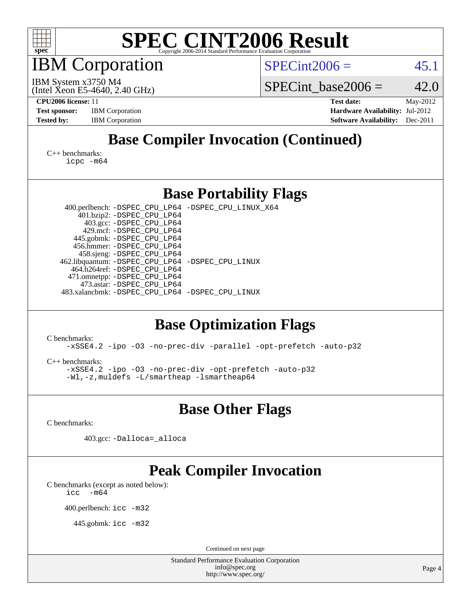

IBM Corporation

 $SPECint2006 = 45.1$  $SPECint2006 = 45.1$ 

(Intel Xeon E5-4640, 2.40 GHz) IBM System x3750 M4

SPECint base2006 =  $42.0$ 

**[CPU2006 license:](http://www.spec.org/auto/cpu2006/Docs/result-fields.html#CPU2006license)** 11 **[Test date:](http://www.spec.org/auto/cpu2006/Docs/result-fields.html#Testdate)** May-2012 **[Test sponsor:](http://www.spec.org/auto/cpu2006/Docs/result-fields.html#Testsponsor)** IBM Corporation **[Hardware Availability:](http://www.spec.org/auto/cpu2006/Docs/result-fields.html#HardwareAvailability)** Jul-2012 **[Tested by:](http://www.spec.org/auto/cpu2006/Docs/result-fields.html#Testedby)** IBM Corporation **[Software Availability:](http://www.spec.org/auto/cpu2006/Docs/result-fields.html#SoftwareAvailability)** Dec-2011

# **[Base Compiler Invocation \(Continued\)](http://www.spec.org/auto/cpu2006/Docs/result-fields.html#BaseCompilerInvocation)**

[C++ benchmarks:](http://www.spec.org/auto/cpu2006/Docs/result-fields.html#CXXbenchmarks) [icpc -m64](http://www.spec.org/cpu2006/results/res2012q3/cpu2006-20120716-23765.flags.html#user_CXXbase_intel_icpc_64bit_fc66a5337ce925472a5c54ad6a0de310)

### **[Base Portability Flags](http://www.spec.org/auto/cpu2006/Docs/result-fields.html#BasePortabilityFlags)**

 400.perlbench: [-DSPEC\\_CPU\\_LP64](http://www.spec.org/cpu2006/results/res2012q3/cpu2006-20120716-23765.flags.html#b400.perlbench_basePORTABILITY_DSPEC_CPU_LP64) [-DSPEC\\_CPU\\_LINUX\\_X64](http://www.spec.org/cpu2006/results/res2012q3/cpu2006-20120716-23765.flags.html#b400.perlbench_baseCPORTABILITY_DSPEC_CPU_LINUX_X64) 401.bzip2: [-DSPEC\\_CPU\\_LP64](http://www.spec.org/cpu2006/results/res2012q3/cpu2006-20120716-23765.flags.html#suite_basePORTABILITY401_bzip2_DSPEC_CPU_LP64) 403.gcc: [-DSPEC\\_CPU\\_LP64](http://www.spec.org/cpu2006/results/res2012q3/cpu2006-20120716-23765.flags.html#suite_basePORTABILITY403_gcc_DSPEC_CPU_LP64) 429.mcf: [-DSPEC\\_CPU\\_LP64](http://www.spec.org/cpu2006/results/res2012q3/cpu2006-20120716-23765.flags.html#suite_basePORTABILITY429_mcf_DSPEC_CPU_LP64) 445.gobmk: [-DSPEC\\_CPU\\_LP64](http://www.spec.org/cpu2006/results/res2012q3/cpu2006-20120716-23765.flags.html#suite_basePORTABILITY445_gobmk_DSPEC_CPU_LP64) 456.hmmer: [-DSPEC\\_CPU\\_LP64](http://www.spec.org/cpu2006/results/res2012q3/cpu2006-20120716-23765.flags.html#suite_basePORTABILITY456_hmmer_DSPEC_CPU_LP64) 458.sjeng: [-DSPEC\\_CPU\\_LP64](http://www.spec.org/cpu2006/results/res2012q3/cpu2006-20120716-23765.flags.html#suite_basePORTABILITY458_sjeng_DSPEC_CPU_LP64) 462.libquantum: [-DSPEC\\_CPU\\_LP64](http://www.spec.org/cpu2006/results/res2012q3/cpu2006-20120716-23765.flags.html#suite_basePORTABILITY462_libquantum_DSPEC_CPU_LP64) [-DSPEC\\_CPU\\_LINUX](http://www.spec.org/cpu2006/results/res2012q3/cpu2006-20120716-23765.flags.html#b462.libquantum_baseCPORTABILITY_DSPEC_CPU_LINUX) 464.h264ref: [-DSPEC\\_CPU\\_LP64](http://www.spec.org/cpu2006/results/res2012q3/cpu2006-20120716-23765.flags.html#suite_basePORTABILITY464_h264ref_DSPEC_CPU_LP64) 471.omnetpp: [-DSPEC\\_CPU\\_LP64](http://www.spec.org/cpu2006/results/res2012q3/cpu2006-20120716-23765.flags.html#suite_basePORTABILITY471_omnetpp_DSPEC_CPU_LP64) 473.astar: [-DSPEC\\_CPU\\_LP64](http://www.spec.org/cpu2006/results/res2012q3/cpu2006-20120716-23765.flags.html#suite_basePORTABILITY473_astar_DSPEC_CPU_LP64) 483.xalancbmk: [-DSPEC\\_CPU\\_LP64](http://www.spec.org/cpu2006/results/res2012q3/cpu2006-20120716-23765.flags.html#suite_basePORTABILITY483_xalancbmk_DSPEC_CPU_LP64) [-DSPEC\\_CPU\\_LINUX](http://www.spec.org/cpu2006/results/res2012q3/cpu2006-20120716-23765.flags.html#b483.xalancbmk_baseCXXPORTABILITY_DSPEC_CPU_LINUX)

# **[Base Optimization Flags](http://www.spec.org/auto/cpu2006/Docs/result-fields.html#BaseOptimizationFlags)**

[C benchmarks](http://www.spec.org/auto/cpu2006/Docs/result-fields.html#Cbenchmarks):

[-xSSE4.2](http://www.spec.org/cpu2006/results/res2012q3/cpu2006-20120716-23765.flags.html#user_CCbase_f-xSSE42_f91528193cf0b216347adb8b939d4107) [-ipo](http://www.spec.org/cpu2006/results/res2012q3/cpu2006-20120716-23765.flags.html#user_CCbase_f-ipo) [-O3](http://www.spec.org/cpu2006/results/res2012q3/cpu2006-20120716-23765.flags.html#user_CCbase_f-O3) [-no-prec-div](http://www.spec.org/cpu2006/results/res2012q3/cpu2006-20120716-23765.flags.html#user_CCbase_f-no-prec-div) [-parallel](http://www.spec.org/cpu2006/results/res2012q3/cpu2006-20120716-23765.flags.html#user_CCbase_f-parallel) [-opt-prefetch](http://www.spec.org/cpu2006/results/res2012q3/cpu2006-20120716-23765.flags.html#user_CCbase_f-opt-prefetch) [-auto-p32](http://www.spec.org/cpu2006/results/res2012q3/cpu2006-20120716-23765.flags.html#user_CCbase_f-auto-p32)

[C++ benchmarks:](http://www.spec.org/auto/cpu2006/Docs/result-fields.html#CXXbenchmarks)

[-xSSE4.2](http://www.spec.org/cpu2006/results/res2012q3/cpu2006-20120716-23765.flags.html#user_CXXbase_f-xSSE42_f91528193cf0b216347adb8b939d4107) [-ipo](http://www.spec.org/cpu2006/results/res2012q3/cpu2006-20120716-23765.flags.html#user_CXXbase_f-ipo) [-O3](http://www.spec.org/cpu2006/results/res2012q3/cpu2006-20120716-23765.flags.html#user_CXXbase_f-O3) [-no-prec-div](http://www.spec.org/cpu2006/results/res2012q3/cpu2006-20120716-23765.flags.html#user_CXXbase_f-no-prec-div) [-opt-prefetch](http://www.spec.org/cpu2006/results/res2012q3/cpu2006-20120716-23765.flags.html#user_CXXbase_f-opt-prefetch) [-auto-p32](http://www.spec.org/cpu2006/results/res2012q3/cpu2006-20120716-23765.flags.html#user_CXXbase_f-auto-p32) [-Wl,-z,muldefs](http://www.spec.org/cpu2006/results/res2012q3/cpu2006-20120716-23765.flags.html#user_CXXbase_link_force_multiple1_74079c344b956b9658436fd1b6dd3a8a) [-L/smartheap -lsmartheap64](http://www.spec.org/cpu2006/results/res2012q3/cpu2006-20120716-23765.flags.html#user_CXXbase_SmartHeap64_5e654037dadeae1fe403ab4b4466e60b)

**[Base Other Flags](http://www.spec.org/auto/cpu2006/Docs/result-fields.html#BaseOtherFlags)**

[C benchmarks](http://www.spec.org/auto/cpu2006/Docs/result-fields.html#Cbenchmarks):

403.gcc: [-Dalloca=\\_alloca](http://www.spec.org/cpu2006/results/res2012q3/cpu2006-20120716-23765.flags.html#b403.gcc_baseEXTRA_CFLAGS_Dalloca_be3056838c12de2578596ca5467af7f3)

# **[Peak Compiler Invocation](http://www.spec.org/auto/cpu2006/Docs/result-fields.html#PeakCompilerInvocation)**

[C benchmarks \(except as noted below\)](http://www.spec.org/auto/cpu2006/Docs/result-fields.html#Cbenchmarksexceptasnotedbelow):  $\text{icc}$  -m64

400.perlbench: [icc -m32](http://www.spec.org/cpu2006/results/res2012q3/cpu2006-20120716-23765.flags.html#user_peakCCLD400_perlbench_intel_icc_a6a621f8d50482236b970c6ac5f55f93)

445.gobmk: [icc -m32](http://www.spec.org/cpu2006/results/res2012q3/cpu2006-20120716-23765.flags.html#user_peakCCLD445_gobmk_intel_icc_a6a621f8d50482236b970c6ac5f55f93)

Continued on next page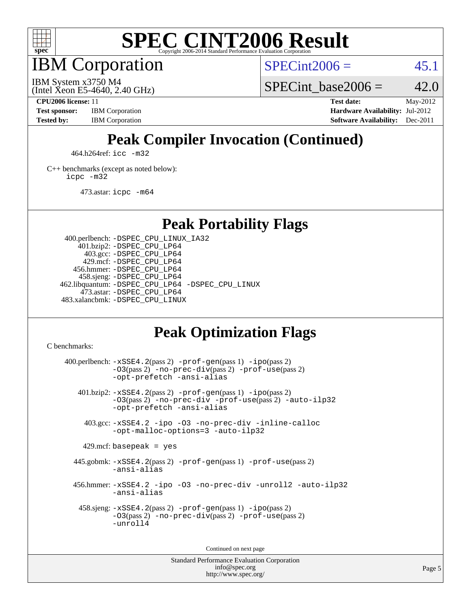

IBM Corporation

 $SPECint2006 = 45.1$  $SPECint2006 = 45.1$ 

(Intel Xeon E5-4640, 2.40 GHz) IBM System x3750 M4

SPECint base2006 =  $42.0$ 

**[CPU2006 license:](http://www.spec.org/auto/cpu2006/Docs/result-fields.html#CPU2006license)** 11 **[Test date:](http://www.spec.org/auto/cpu2006/Docs/result-fields.html#Testdate)** May-2012 **[Test sponsor:](http://www.spec.org/auto/cpu2006/Docs/result-fields.html#Testsponsor)** IBM Corporation **[Hardware Availability:](http://www.spec.org/auto/cpu2006/Docs/result-fields.html#HardwareAvailability)** Jul-2012 **[Tested by:](http://www.spec.org/auto/cpu2006/Docs/result-fields.html#Testedby)** IBM Corporation **[Software Availability:](http://www.spec.org/auto/cpu2006/Docs/result-fields.html#SoftwareAvailability)** Dec-2011

# **[Peak Compiler Invocation \(Continued\)](http://www.spec.org/auto/cpu2006/Docs/result-fields.html#PeakCompilerInvocation)**

464.h264ref: [icc -m32](http://www.spec.org/cpu2006/results/res2012q3/cpu2006-20120716-23765.flags.html#user_peakCCLD464_h264ref_intel_icc_a6a621f8d50482236b970c6ac5f55f93)

[C++ benchmarks \(except as noted below\):](http://www.spec.org/auto/cpu2006/Docs/result-fields.html#CXXbenchmarksexceptasnotedbelow) [icpc -m32](http://www.spec.org/cpu2006/results/res2012q3/cpu2006-20120716-23765.flags.html#user_CXXpeak_intel_icpc_4e5a5ef1a53fd332b3c49e69c3330699)

473.astar: [icpc -m64](http://www.spec.org/cpu2006/results/res2012q3/cpu2006-20120716-23765.flags.html#user_peakCXXLD473_astar_intel_icpc_64bit_fc66a5337ce925472a5c54ad6a0de310)

**[Peak Portability Flags](http://www.spec.org/auto/cpu2006/Docs/result-fields.html#PeakPortabilityFlags)**

 400.perlbench: [-DSPEC\\_CPU\\_LINUX\\_IA32](http://www.spec.org/cpu2006/results/res2012q3/cpu2006-20120716-23765.flags.html#b400.perlbench_peakCPORTABILITY_DSPEC_CPU_LINUX_IA32) 401.bzip2: [-DSPEC\\_CPU\\_LP64](http://www.spec.org/cpu2006/results/res2012q3/cpu2006-20120716-23765.flags.html#suite_peakPORTABILITY401_bzip2_DSPEC_CPU_LP64) 403.gcc: [-DSPEC\\_CPU\\_LP64](http://www.spec.org/cpu2006/results/res2012q3/cpu2006-20120716-23765.flags.html#suite_peakPORTABILITY403_gcc_DSPEC_CPU_LP64) 429.mcf: [-DSPEC\\_CPU\\_LP64](http://www.spec.org/cpu2006/results/res2012q3/cpu2006-20120716-23765.flags.html#suite_peakPORTABILITY429_mcf_DSPEC_CPU_LP64) 456.hmmer: [-DSPEC\\_CPU\\_LP64](http://www.spec.org/cpu2006/results/res2012q3/cpu2006-20120716-23765.flags.html#suite_peakPORTABILITY456_hmmer_DSPEC_CPU_LP64) 458.sjeng: [-DSPEC\\_CPU\\_LP64](http://www.spec.org/cpu2006/results/res2012q3/cpu2006-20120716-23765.flags.html#suite_peakPORTABILITY458_sjeng_DSPEC_CPU_LP64) 462.libquantum: [-DSPEC\\_CPU\\_LP64](http://www.spec.org/cpu2006/results/res2012q3/cpu2006-20120716-23765.flags.html#suite_peakPORTABILITY462_libquantum_DSPEC_CPU_LP64) [-DSPEC\\_CPU\\_LINUX](http://www.spec.org/cpu2006/results/res2012q3/cpu2006-20120716-23765.flags.html#b462.libquantum_peakCPORTABILITY_DSPEC_CPU_LINUX) 473.astar: [-DSPEC\\_CPU\\_LP64](http://www.spec.org/cpu2006/results/res2012q3/cpu2006-20120716-23765.flags.html#suite_peakPORTABILITY473_astar_DSPEC_CPU_LP64) 483.xalancbmk: [-DSPEC\\_CPU\\_LINUX](http://www.spec.org/cpu2006/results/res2012q3/cpu2006-20120716-23765.flags.html#b483.xalancbmk_peakCXXPORTABILITY_DSPEC_CPU_LINUX)

# **[Peak Optimization Flags](http://www.spec.org/auto/cpu2006/Docs/result-fields.html#PeakOptimizationFlags)**

[C benchmarks](http://www.spec.org/auto/cpu2006/Docs/result-fields.html#Cbenchmarks):

 $400.$ perlbench:  $-xSSE4$ .  $2(pass 2)$  -prof-qen(pass 1) [-ipo](http://www.spec.org/cpu2006/results/res2012q3/cpu2006-20120716-23765.flags.html#user_peakPASS2_CFLAGSPASS2_LDCFLAGS400_perlbench_f-ipo)(pass 2) [-O3](http://www.spec.org/cpu2006/results/res2012q3/cpu2006-20120716-23765.flags.html#user_peakPASS2_CFLAGSPASS2_LDCFLAGS400_perlbench_f-O3)(pass 2) [-no-prec-div](http://www.spec.org/cpu2006/results/res2012q3/cpu2006-20120716-23765.flags.html#user_peakPASS2_CFLAGSPASS2_LDCFLAGS400_perlbench_f-no-prec-div)(pass 2) [-prof-use](http://www.spec.org/cpu2006/results/res2012q3/cpu2006-20120716-23765.flags.html#user_peakPASS2_CFLAGSPASS2_LDCFLAGS400_perlbench_prof_use_bccf7792157ff70d64e32fe3e1250b55)(pass 2) [-opt-prefetch](http://www.spec.org/cpu2006/results/res2012q3/cpu2006-20120716-23765.flags.html#user_peakCOPTIMIZE400_perlbench_f-opt-prefetch) [-ansi-alias](http://www.spec.org/cpu2006/results/res2012q3/cpu2006-20120716-23765.flags.html#user_peakCOPTIMIZE400_perlbench_f-ansi-alias) 401.bzip2: [-xSSE4.2](http://www.spec.org/cpu2006/results/res2012q3/cpu2006-20120716-23765.flags.html#user_peakPASS2_CFLAGSPASS2_LDCFLAGS401_bzip2_f-xSSE42_f91528193cf0b216347adb8b939d4107)(pass 2) [-prof-gen](http://www.spec.org/cpu2006/results/res2012q3/cpu2006-20120716-23765.flags.html#user_peakPASS1_CFLAGSPASS1_LDCFLAGS401_bzip2_prof_gen_e43856698f6ca7b7e442dfd80e94a8fc)(pass 1) [-ipo](http://www.spec.org/cpu2006/results/res2012q3/cpu2006-20120716-23765.flags.html#user_peakPASS2_CFLAGSPASS2_LDCFLAGS401_bzip2_f-ipo)(pass 2) [-O3](http://www.spec.org/cpu2006/results/res2012q3/cpu2006-20120716-23765.flags.html#user_peakPASS2_CFLAGSPASS2_LDCFLAGS401_bzip2_f-O3)(pass 2) [-no-prec-div](http://www.spec.org/cpu2006/results/res2012q3/cpu2006-20120716-23765.flags.html#user_peakCOPTIMIZEPASS2_CFLAGSPASS2_LDCFLAGS401_bzip2_f-no-prec-div) [-prof-use](http://www.spec.org/cpu2006/results/res2012q3/cpu2006-20120716-23765.flags.html#user_peakPASS2_CFLAGSPASS2_LDCFLAGS401_bzip2_prof_use_bccf7792157ff70d64e32fe3e1250b55)(pass 2) [-auto-ilp32](http://www.spec.org/cpu2006/results/res2012q3/cpu2006-20120716-23765.flags.html#user_peakCOPTIMIZE401_bzip2_f-auto-ilp32) [-opt-prefetch](http://www.spec.org/cpu2006/results/res2012q3/cpu2006-20120716-23765.flags.html#user_peakCOPTIMIZE401_bzip2_f-opt-prefetch) [-ansi-alias](http://www.spec.org/cpu2006/results/res2012q3/cpu2006-20120716-23765.flags.html#user_peakCOPTIMIZE401_bzip2_f-ansi-alias) 403.gcc: [-xSSE4.2](http://www.spec.org/cpu2006/results/res2012q3/cpu2006-20120716-23765.flags.html#user_peakCOPTIMIZE403_gcc_f-xSSE42_f91528193cf0b216347adb8b939d4107) [-ipo](http://www.spec.org/cpu2006/results/res2012q3/cpu2006-20120716-23765.flags.html#user_peakCOPTIMIZE403_gcc_f-ipo) [-O3](http://www.spec.org/cpu2006/results/res2012q3/cpu2006-20120716-23765.flags.html#user_peakCOPTIMIZE403_gcc_f-O3) [-no-prec-div](http://www.spec.org/cpu2006/results/res2012q3/cpu2006-20120716-23765.flags.html#user_peakCOPTIMIZE403_gcc_f-no-prec-div) [-inline-calloc](http://www.spec.org/cpu2006/results/res2012q3/cpu2006-20120716-23765.flags.html#user_peakCOPTIMIZE403_gcc_f-inline-calloc) [-opt-malloc-options=3](http://www.spec.org/cpu2006/results/res2012q3/cpu2006-20120716-23765.flags.html#user_peakCOPTIMIZE403_gcc_f-opt-malloc-options_13ab9b803cf986b4ee62f0a5998c2238) [-auto-ilp32](http://www.spec.org/cpu2006/results/res2012q3/cpu2006-20120716-23765.flags.html#user_peakCOPTIMIZE403_gcc_f-auto-ilp32)  $429$ .mcf: basepeak = yes 445.gobmk: [-xSSE4.2](http://www.spec.org/cpu2006/results/res2012q3/cpu2006-20120716-23765.flags.html#user_peakPASS2_CFLAGSPASS2_LDCFLAGS445_gobmk_f-xSSE42_f91528193cf0b216347adb8b939d4107)(pass 2) [-prof-gen](http://www.spec.org/cpu2006/results/res2012q3/cpu2006-20120716-23765.flags.html#user_peakPASS1_CFLAGSPASS1_LDCFLAGS445_gobmk_prof_gen_e43856698f6ca7b7e442dfd80e94a8fc)(pass 1) [-prof-use](http://www.spec.org/cpu2006/results/res2012q3/cpu2006-20120716-23765.flags.html#user_peakPASS2_CFLAGSPASS2_LDCFLAGS445_gobmk_prof_use_bccf7792157ff70d64e32fe3e1250b55)(pass 2) [-ansi-alias](http://www.spec.org/cpu2006/results/res2012q3/cpu2006-20120716-23765.flags.html#user_peakCOPTIMIZE445_gobmk_f-ansi-alias) 456.hmmer: [-xSSE4.2](http://www.spec.org/cpu2006/results/res2012q3/cpu2006-20120716-23765.flags.html#user_peakCOPTIMIZE456_hmmer_f-xSSE42_f91528193cf0b216347adb8b939d4107) [-ipo](http://www.spec.org/cpu2006/results/res2012q3/cpu2006-20120716-23765.flags.html#user_peakCOPTIMIZE456_hmmer_f-ipo) [-O3](http://www.spec.org/cpu2006/results/res2012q3/cpu2006-20120716-23765.flags.html#user_peakCOPTIMIZE456_hmmer_f-O3) [-no-prec-div](http://www.spec.org/cpu2006/results/res2012q3/cpu2006-20120716-23765.flags.html#user_peakCOPTIMIZE456_hmmer_f-no-prec-div) [-unroll2](http://www.spec.org/cpu2006/results/res2012q3/cpu2006-20120716-23765.flags.html#user_peakCOPTIMIZE456_hmmer_f-unroll_784dae83bebfb236979b41d2422d7ec2) [-auto-ilp32](http://www.spec.org/cpu2006/results/res2012q3/cpu2006-20120716-23765.flags.html#user_peakCOPTIMIZE456_hmmer_f-auto-ilp32) [-ansi-alias](http://www.spec.org/cpu2006/results/res2012q3/cpu2006-20120716-23765.flags.html#user_peakCOPTIMIZE456_hmmer_f-ansi-alias) 458.sjeng: [-xSSE4.2](http://www.spec.org/cpu2006/results/res2012q3/cpu2006-20120716-23765.flags.html#user_peakPASS2_CFLAGSPASS2_LDCFLAGS458_sjeng_f-xSSE42_f91528193cf0b216347adb8b939d4107)(pass 2) [-prof-gen](http://www.spec.org/cpu2006/results/res2012q3/cpu2006-20120716-23765.flags.html#user_peakPASS1_CFLAGSPASS1_LDCFLAGS458_sjeng_prof_gen_e43856698f6ca7b7e442dfd80e94a8fc)(pass 1) [-ipo](http://www.spec.org/cpu2006/results/res2012q3/cpu2006-20120716-23765.flags.html#user_peakPASS2_CFLAGSPASS2_LDCFLAGS458_sjeng_f-ipo)(pass 2) [-O3](http://www.spec.org/cpu2006/results/res2012q3/cpu2006-20120716-23765.flags.html#user_peakPASS2_CFLAGSPASS2_LDCFLAGS458_sjeng_f-O3)(pass 2) [-no-prec-div](http://www.spec.org/cpu2006/results/res2012q3/cpu2006-20120716-23765.flags.html#user_peakPASS2_CFLAGSPASS2_LDCFLAGS458_sjeng_f-no-prec-div)(pass 2) [-prof-use](http://www.spec.org/cpu2006/results/res2012q3/cpu2006-20120716-23765.flags.html#user_peakPASS2_CFLAGSPASS2_LDCFLAGS458_sjeng_prof_use_bccf7792157ff70d64e32fe3e1250b55)(pass 2) [-unroll4](http://www.spec.org/cpu2006/results/res2012q3/cpu2006-20120716-23765.flags.html#user_peakCOPTIMIZE458_sjeng_f-unroll_4e5e4ed65b7fd20bdcd365bec371b81f)

Continued on next page